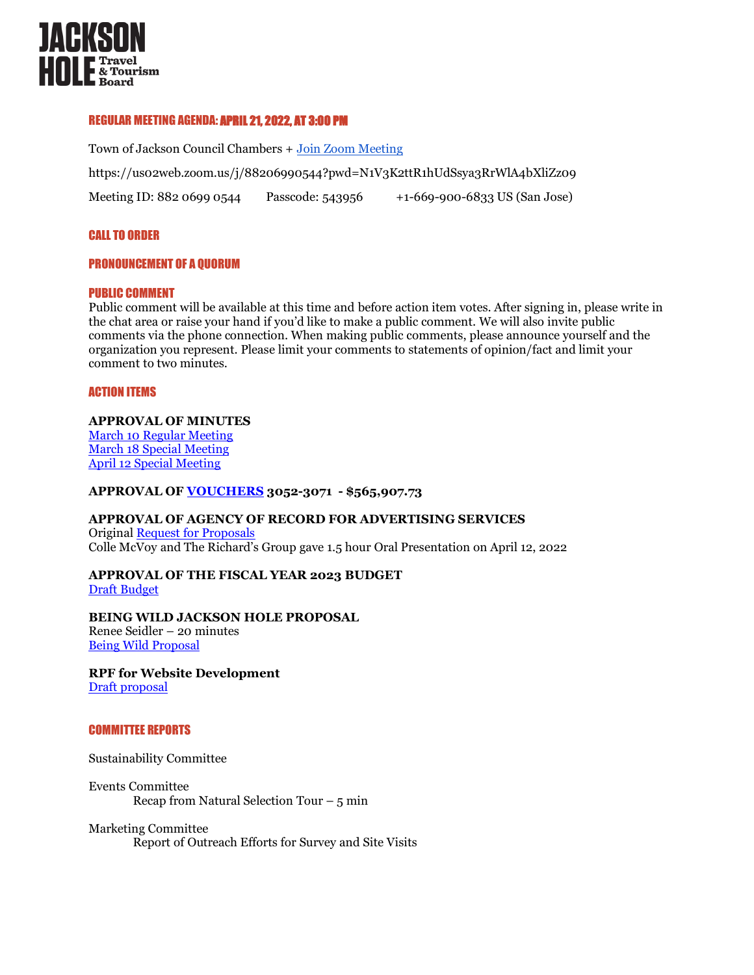

## REGULAR MEETING AGENDA: APRIL 21, 2022, AT 3:00 PM

Town of Jackson Council Chambers + [Join Zoom Meeting](https://us02web.zoom.us/j/88206990544?pwd=N1V3K2ttR1hUdSsya3RrWlA4bXliZz09) https://us02web.zoom.us/j/88206990544?pwd=N1V3K2ttR1hUdSsya3RrWlA4bXliZz09 Meeting ID: 882 0699 0544 Passcode: 543956 +1-669-900-6833 US (San Jose)

## CALL TO ORDER

## PRONOUNCEMENT OF A QUORUM

## PUBLIC COMMENT

Public comment will be available at this time and before action item votes. After signing in, please write in the chat area or raise your hand if you'd like to make a public comment. We will also invite public comments via the phone connection. When making public comments, please announce yourself and the organization you represent. Please limit your comments to statements of opinion/fact and limit your comment to two minutes.

#### ACTION ITEMS

## **APPROVAL OF MINUTES**

[March 10 Regular Meeting](https://www.tetoncountywy.gov/DocumentCenter/View/21890/March10-2022-Regular-Meeting-MINUTESdocx-2) [March 18 Special](https://tetoncountywy.gov/DocumentCenter/View/21895/March-18-Special-Meeting-Minutes-) Meeting [April 12 Special Meeting](https://tetoncountywy.gov/DocumentCenter/View/21897/April-12-Special-Meeting-Minutes-)

## **APPROVAL OF [VOUCHERS](https://www.tetoncountywy.gov/DocumentCenter/View/21942/2022-04-JHTTJPB-Vouchers-3052-to-3071-Summary) 3052-3071 - \$565,907.73**

#### **APPROVAL OF AGENCY OF RECORD FOR ADVERTISING SERVICES** Origina[l Request for Proposals](https://www.tetoncountywy.gov/DocumentCenter/View/21249/RFP-Creative-Agency-Services-JHTTB-2022docx) Colle McVoy and The Richard's Group gave 1.5 hour Oral Presentation on April 12, 2022

**APPROVAL OF THE FISCAL YEAR 2023 BUDGET** [Draft Budget](https://www.tetoncountywy.gov/DocumentCenter/View/21943/TTB-FY23-Budget_for-Discussion-on-042122)

## **BEING WILD JACKSON HOLE PROPOSAL**  Renee Seidler – 20 minutes [Being Wild Proposal](https://www.tetoncountywy.gov/DocumentCenter/View/21894/Being-Wild-Jackson-Hole-FY-2023)

**RPF for Website Development** [Draft proposal](https://www.tetoncountywy.gov/AgendaCenter/4-Jackson-Hole-Lodging-Tax-13/?#_04212022-1870)

#### COMMITTEE REPORTS

Sustainability Committee

Events Committee Recap from Natural Selection Tour  $-5$  min

#### Marketing Committee

Report of Outreach Efforts for Survey and Site Visits